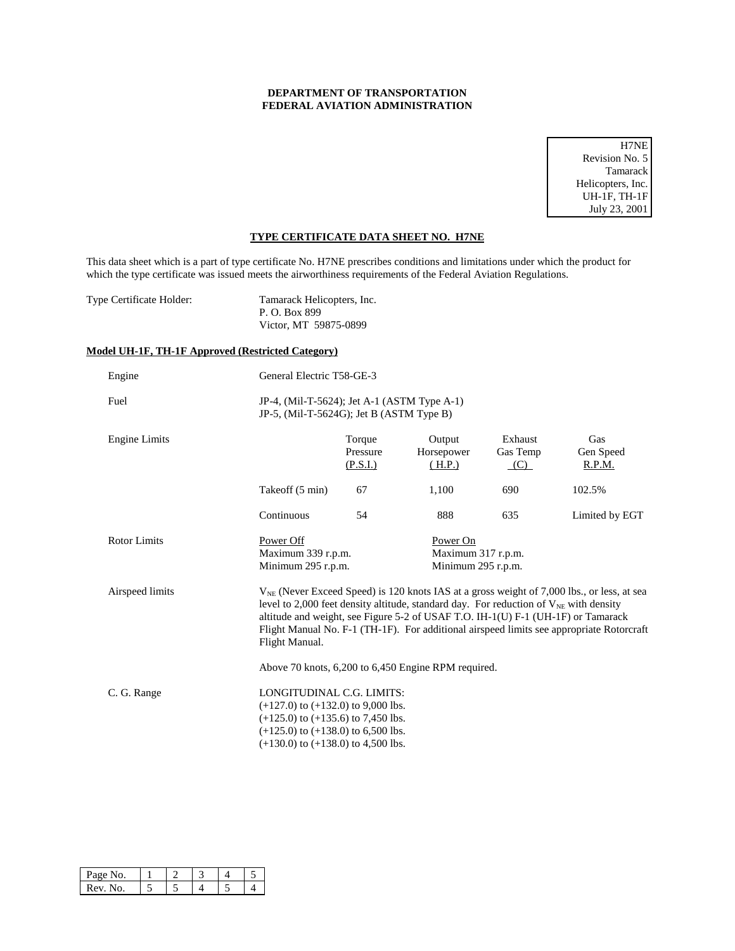## **DEPARTMENT OF TRANSPORTATION FEDERAL AVIATION ADMINISTRATION**

H7NE Revision No. 5 Tamarack Helicopters, Inc. UH-1F, TH-1F July 23, 2001

## **TYPE CERTIFICATE DATA SHEET NO. H7NE**

This data sheet which is a part of type certificate No. H7NE prescribes conditions and limitations under which the product for which the type certificate was issued meets the airworthiness requirements of the Federal Aviation Regulations.

| Type Certificate Holder: | Tamarack Helicopters, Inc. |
|--------------------------|----------------------------|
|                          | P. O. Box 899              |
|                          | Victor, MT 59875-0899      |

## **Model UH-1F, TH-1F Approved (Restricted Category)**

| Engine               | General Electric T58-GE-3                                                                                                                                                                         |                                |                                                                                                                                                                                |                            |                                                                                                                                                                                             |
|----------------------|---------------------------------------------------------------------------------------------------------------------------------------------------------------------------------------------------|--------------------------------|--------------------------------------------------------------------------------------------------------------------------------------------------------------------------------|----------------------------|---------------------------------------------------------------------------------------------------------------------------------------------------------------------------------------------|
| Fuel                 | JP-4, (Mil-T-5624); Jet A-1 (ASTM Type A-1)<br>JP-5, (Mil-T-5624G); Jet B $(ASTMType B)$                                                                                                          |                                |                                                                                                                                                                                |                            |                                                                                                                                                                                             |
| <b>Engine Limits</b> |                                                                                                                                                                                                   | Torque<br>Pressure<br>(P.S.I.) | Output<br>Horsepower<br>(H.P.)                                                                                                                                                 | Exhaust<br>Gas Temp<br>(C) | Gas<br>Gen Speed<br>R.P.M.                                                                                                                                                                  |
|                      | Takeoff (5 min)                                                                                                                                                                                   | 67                             | 1,100                                                                                                                                                                          | 690                        | 102.5%                                                                                                                                                                                      |
|                      | Continuous                                                                                                                                                                                        | 54                             | 888                                                                                                                                                                            | 635                        | Limited by EGT                                                                                                                                                                              |
| Rotor Limits         | Power Off<br>Maximum 339 r.p.m.<br>Minimum 295 r.p.m.                                                                                                                                             |                                | Power On<br>Maximum 317 r.p.m.<br>Minimum 295 r.p.m.                                                                                                                           |                            |                                                                                                                                                                                             |
| Airspeed limits      | Flight Manual.                                                                                                                                                                                    |                                | level to 2,000 feet density altitude, standard day. For reduction of $V_{NE}$ with density<br>altitude and weight, see Figure 5-2 of USAF T.O. IH-1(U) F-1 (UH-1F) or Tamarack |                            | $V_{NE}$ (Never Exceed Speed) is 120 knots IAS at a gross weight of 7,000 lbs., or less, at sea<br>Flight Manual No. F-1 (TH-1F). For additional airspeed limits see appropriate Rotorcraft |
|                      |                                                                                                                                                                                                   |                                | Above 70 knots, 6,200 to 6,450 Engine RPM required.                                                                                                                            |                            |                                                                                                                                                                                             |
| C. G. Range          | LONGITUDINAL C.G. LIMITS:<br>$(+127.0)$ to $(+132.0)$ to 9,000 lbs.<br>$(+125.0)$ to $(+135.6)$ to 7,450 lbs.<br>$(+125.0)$ to $(+138.0)$ to 6,500 lbs.<br>$(+130.0)$ to $(+138.0)$ to 4,500 lbs. |                                |                                                                                                                                                                                |                            |                                                                                                                                                                                             |

| 'age No. |  |  |  |
|----------|--|--|--|
| Rev      |  |  |  |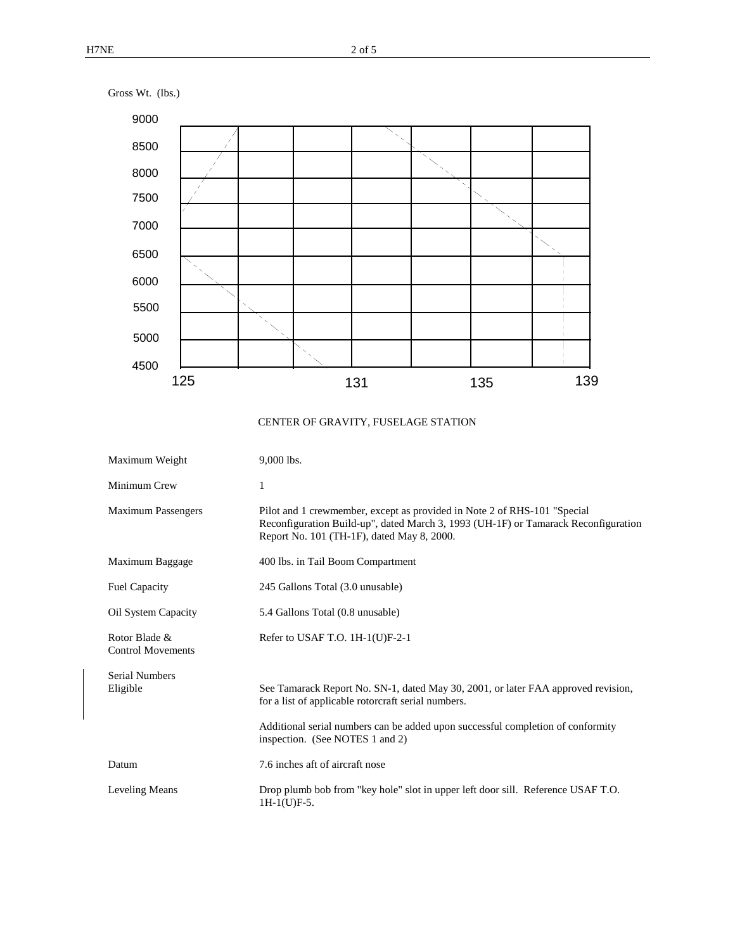

## CENTER OF GRAVITY, FUSELAGE STATION

| Maximum Weight                            | 9,000 lbs.                                                                                                                                                                                                                                                     |
|-------------------------------------------|----------------------------------------------------------------------------------------------------------------------------------------------------------------------------------------------------------------------------------------------------------------|
| Minimum Crew                              | 1                                                                                                                                                                                                                                                              |
| <b>Maximum Passengers</b>                 | Pilot and 1 crewmember, except as provided in Note 2 of RHS-101 "Special<br>Reconfiguration Build-up", dated March 3, 1993 (UH-1F) or Tamarack Reconfiguration<br>Report No. 101 (TH-1F), dated May 8, 2000.                                                   |
| Maximum Baggage                           | 400 lbs. in Tail Boom Compartment                                                                                                                                                                                                                              |
| <b>Fuel Capacity</b>                      | 245 Gallons Total (3.0 unusable)                                                                                                                                                                                                                               |
| Oil System Capacity                       | 5.4 Gallons Total (0.8 unusable)                                                                                                                                                                                                                               |
| Rotor Blade &<br><b>Control Movements</b> | Refer to USAF T.O. $1H-1(U)F-2-1$                                                                                                                                                                                                                              |
| <b>Serial Numbers</b><br>Eligible         | See Tamarack Report No. SN-1, dated May 30, 2001, or later FAA approved revision,<br>for a list of applicable rotorcraft serial numbers.<br>Additional serial numbers can be added upon successful completion of conformity<br>inspection. (See NOTES 1 and 2) |
| Datum                                     | 7.6 inches aft of aircraft nose                                                                                                                                                                                                                                |
| Leveling Means                            | Drop plumb bob from "key hole" slot in upper left door sill. Reference USAF T.O.<br>$1H-1(U)F-5.$                                                                                                                                                              |

Gross Wt. (lbs.)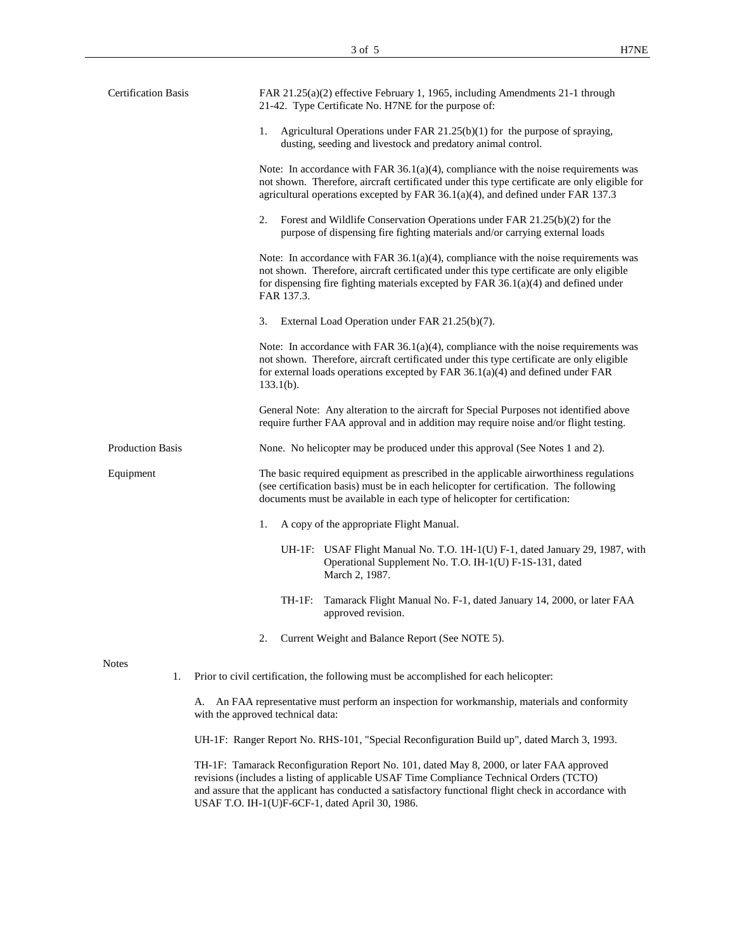| <b>Certification Basis</b> |    | FAR 21.25(a)(2) effective February 1, 1965, including Amendments 21-1 through<br>21-42. Type Certificate No. H7NE for the purpose of:                                                                                                                                                      |
|----------------------------|----|--------------------------------------------------------------------------------------------------------------------------------------------------------------------------------------------------------------------------------------------------------------------------------------------|
|                            |    | 1.<br>Agricultural Operations under FAR $21.25(b)(1)$ for the purpose of spraying,<br>dusting, seeding and livestock and predatory animal control.                                                                                                                                         |
|                            |    | Note: In accordance with FAR $36.1(a)(4)$ , compliance with the noise requirements was<br>not shown. Therefore, aircraft certificated under this type certificate are only eligible for<br>agricultural operations excepted by FAR $36.1(a)(4)$ , and defined under FAR 137.3              |
|                            |    | Forest and Wildlife Conservation Operations under FAR 21.25(b)(2) for the<br>2.<br>purpose of dispensing fire fighting materials and/or carrying external loads                                                                                                                            |
|                            |    | Note: In accordance with FAR $36.1(a)(4)$ , compliance with the noise requirements was<br>not shown. Therefore, aircraft certificated under this type certificate are only eligible<br>for dispensing fire fighting materials excepted by FAR $36.1(a)(4)$ and defined under<br>FAR 137.3. |
|                            |    | 3.<br>External Load Operation under FAR 21.25(b)(7).                                                                                                                                                                                                                                       |
|                            |    | Note: In accordance with FAR $36.1(a)(4)$ , compliance with the noise requirements was<br>not shown. Therefore, aircraft certificated under this type certificate are only eligible<br>for external loads operations excepted by FAR $36.1(a)(4)$ and defined under FAR<br>$133.1(b)$ .    |
|                            |    | General Note: Any alteration to the aircraft for Special Purposes not identified above<br>require further FAA approval and in addition may require noise and/or flight testing.                                                                                                            |
| <b>Production Basis</b>    |    | None. No helicopter may be produced under this approval (See Notes 1 and 2).                                                                                                                                                                                                               |
| Equipment                  |    | The basic required equipment as prescribed in the applicable airworthiness regulations<br>(see certification basis) must be in each helicopter for certification. The following<br>documents must be available in each type of helicopter for certification:                               |
|                            |    | 1.<br>A copy of the appropriate Flight Manual.                                                                                                                                                                                                                                             |
|                            |    | UH-1F: USAF Flight Manual No. T.O. 1H-1(U) F-1, dated January 29, 1987, with<br>Operational Supplement No. T.O. IH-1(U) F-1S-131, dated<br>March 2, 1987.                                                                                                                                  |
|                            |    | TH-1F:<br>Tamarack Flight Manual No. F-1, dated January 14, 2000, or later FAA<br>approved revision.                                                                                                                                                                                       |
|                            |    | Current Weight and Balance Report (See NOTE 5).<br>2.                                                                                                                                                                                                                                      |
| <b>Notes</b>               | 1. | Prior to civil certification, the following must be accomplished for each helicopter:                                                                                                                                                                                                      |
|                            | A. | An FAA representative must perform an inspection for workmanship, materials and conformity<br>with the approved technical data:                                                                                                                                                            |
|                            |    | UH-1F: Ranger Report No. RHS-101, "Special Reconfiguration Build up", dated March 3, 1993.                                                                                                                                                                                                 |

TH-1F: Tamarack Reconfiguration Report No. 101, dated May 8, 2000, or later FAA approved revisions (includes a listing of applicable USAF Time Compliance Technical Orders (TCTO) and assure that the applicant has conducted a satisfactory functional flight check in accordance with USAF T.O. IH-1(U)F-6CF-1, dated April 30, 1986.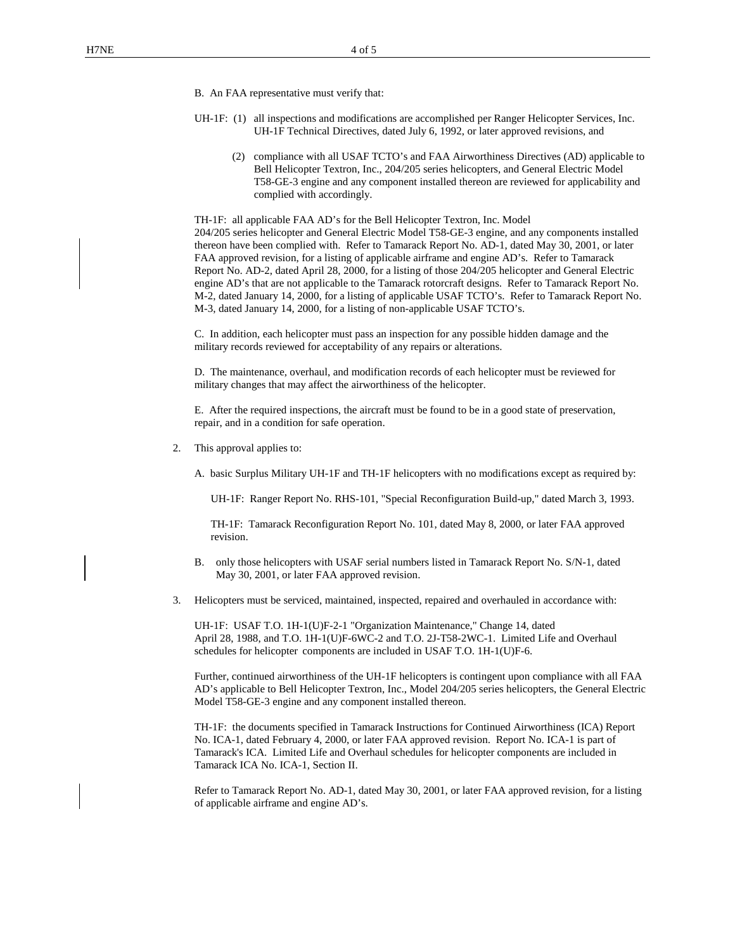- B. An FAA representative must verify that:
- UH-1F: (1) all inspections and modifications are accomplished per Ranger Helicopter Services, Inc. UH-1F Technical Directives, dated July 6, 1992, or later approved revisions, and
	- (2) compliance with all USAF TCTO's and FAA Airworthiness Directives (AD) applicable to Bell Helicopter Textron, Inc., 204/205 series helicopters, and General Electric Model T58-GE-3 engine and any component installed thereon are reviewed for applicability and complied with accordingly.

TH-1F: all applicable FAA AD's for the Bell Helicopter Textron, Inc. Model 204/205 series helicopter and General Electric Model T58-GE-3 engine, and any components installed thereon have been complied with. Refer to Tamarack Report No. AD-1, dated May 30, 2001, or later FAA approved revision, for a listing of applicable airframe and engine AD's. Refer to Tamarack Report No. AD-2, dated April 28, 2000, for a listing of those 204/205 helicopter and General Electric engine AD's that are not applicable to the Tamarack rotorcraft designs. Refer to Tamarack Report No. M-2, dated January 14, 2000, for a listing of applicable USAF TCTO's. Refer to Tamarack Report No. M-3, dated January 14, 2000, for a listing of non-applicable USAF TCTO's.

C. In addition, each helicopter must pass an inspection for any possible hidden damage and the military records reviewed for acceptability of any repairs or alterations.

D. The maintenance, overhaul, and modification records of each helicopter must be reviewed for military changes that may affect the airworthiness of the helicopter.

E. After the required inspections, the aircraft must be found to be in a good state of preservation, repair, and in a condition for safe operation.

- 2. This approval applies to:
	- A. basic Surplus Military UH-1F and TH-1F helicopters with no modifications except as required by:

UH-1F: Ranger Report No. RHS-101, "Special Reconfiguration Build-up," dated March 3, 1993.

TH-1F: Tamarack Reconfiguration Report No. 101, dated May 8, 2000, or later FAA approved revision.

- B. only those helicopters with USAF serial numbers listed in Tamarack Report No. S/N-1, dated May 30, 2001, or later FAA approved revision.
- 3. Helicopters must be serviced, maintained, inspected, repaired and overhauled in accordance with:

UH-1F: USAF T.O. 1H-1(U)F-2-1 "Organization Maintenance," Change 14, dated April 28, 1988, and T.O. 1H-1(U)F-6WC-2 and T.O. 2J-T58-2WC-1. Limited Life and Overhaul schedules for helicopter components are included in USAF T.O. 1H-1(U)F-6.

Further, continued airworthiness of the UH-1F helicopters is contingent upon compliance with all FAA AD's applicable to Bell Helicopter Textron, Inc., Model 204/205 series helicopters, the General Electric Model T58-GE-3 engine and any component installed thereon.

TH-1F: the documents specified in Tamarack Instructions for Continued Airworthiness (ICA) Report No. ICA-1, dated February 4, 2000, or later FAA approved revision. Report No. ICA-1 is part of Tamarack's ICA. Limited Life and Overhaul schedules for helicopter components are included in Tamarack ICA No. ICA-1, Section II.

Refer to Tamarack Report No. AD-1, dated May 30, 2001, or later FAA approved revision, for a listing of applicable airframe and engine AD's.